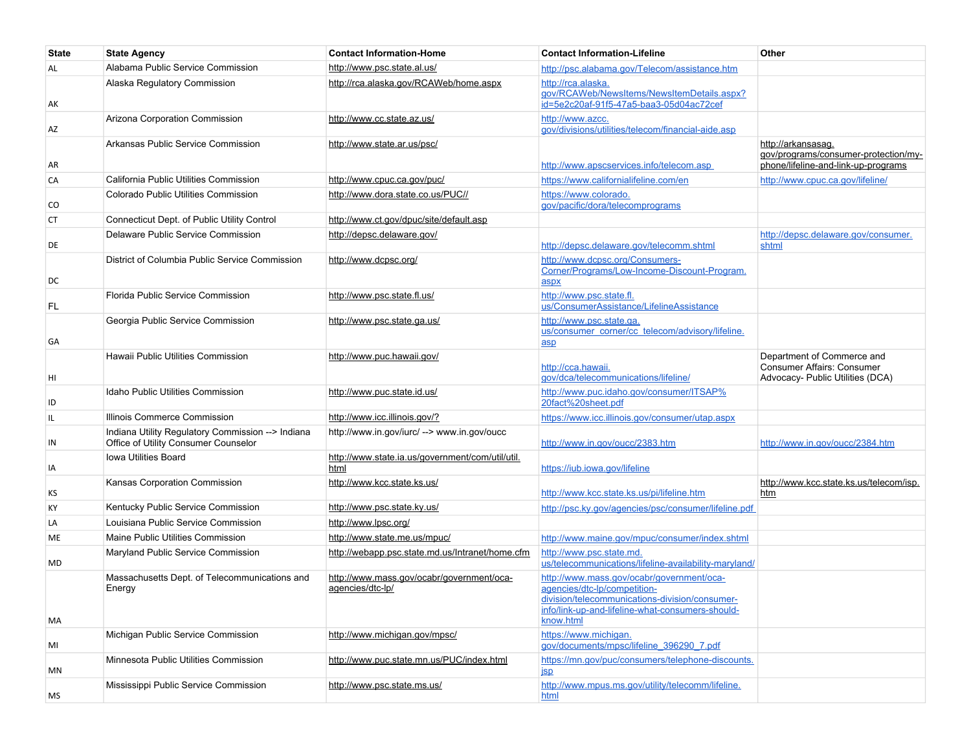| <b>State</b> | <b>State Agency</b>                                                                       | <b>Contact Information-Home</b>                               | <b>Contact Information-Lifeline</b>                                                                                                                                                          | Other                                                                                             |
|--------------|-------------------------------------------------------------------------------------------|---------------------------------------------------------------|----------------------------------------------------------------------------------------------------------------------------------------------------------------------------------------------|---------------------------------------------------------------------------------------------------|
| AL           | Alabama Public Service Commission                                                         | http://www.psc.state.al.us/                                   | http://psc.alabama.gov/Telecom/assistance.htm                                                                                                                                                |                                                                                                   |
| AK           | Alaska Regulatory Commission                                                              | http://rca.alaska.gov/RCAWeb/home.aspx                        | http://rca.alaska.<br>gov/RCAWeb/NewsItems/NewsItemDetails.aspx?<br>id=5e2c20af-91f5-47a5-baa3-05d04ac72cef                                                                                  |                                                                                                   |
| AZ           | Arizona Corporation Commission                                                            | http://www.cc.state.az.us/                                    | http://www.azcc.<br>gov/divisions/utilities/telecom/financial-aide.asp                                                                                                                       |                                                                                                   |
| AR           | Arkansas Public Service Commission                                                        | http://www.state.ar.us/psc/                                   | http://www.apscservices.info/telecom.asp                                                                                                                                                     | http://arkansasag.<br>gov/programs/consumer-protection/my-<br>phone/lifeline-and-link-up-programs |
| CA           | California Public Utilities Commission                                                    | http://www.cpuc.ca.gov/puc/                                   | https://www.californialifeline.com/en                                                                                                                                                        | http://www.cpuc.ca.gov/lifeline/                                                                  |
| CO           | Colorado Public Utilities Commission                                                      | http://www.dora.state.co.us/PUC//                             | https://www.colorado.<br>gov/pacific/dora/telecomprograms                                                                                                                                    |                                                                                                   |
| <b>CT</b>    | Connecticut Dept. of Public Utility Control                                               | http://www.ct.gov/dpuc/site/default.asp                       |                                                                                                                                                                                              |                                                                                                   |
| DE           | Delaware Public Service Commission                                                        | http://depsc.delaware.gov/                                    | http://depsc.delaware.gov/telecomm.shtml                                                                                                                                                     | http://depsc.delaware.gov/consumer.<br>shtml                                                      |
| DC           | District of Columbia Public Service Commission                                            | http://www.dcpsc.org/                                         | http://www.dcpsc.org/Consumers-<br>Corner/Programs/Low-Income-Discount-Program.<br>aspx                                                                                                      |                                                                                                   |
| FL.          | Florida Public Service Commission                                                         | http://www.psc.state.fl.us/                                   | http://www.psc.state.fl.<br>us/ConsumerAssistance/LifelineAssistance                                                                                                                         |                                                                                                   |
| GА           | Georgia Public Service Commission                                                         | http://www.psc.state.ga.us/                                   | http://www.psc.state.ga.<br>us/consumer_corner/cc_telecom/advisory/lifeline.<br>asp                                                                                                          |                                                                                                   |
| HI           | Hawaii Public Utilities Commission                                                        | http://www.puc.hawaii.gov/                                    | http://cca.hawaii.<br>gov/dca/telecommunications/lifeline/                                                                                                                                   | Department of Commerce and<br>Consumer Affairs: Consumer<br>Advocacy- Public Utilities (DCA)      |
| ID           | Idaho Public Utilities Commission                                                         | http://www.puc.state.id.us/                                   | http://www.puc.idaho.gov/consumer/ITSAP%<br>20fact%20sheet.pdf                                                                                                                               |                                                                                                   |
| IL.          | Illinois Commerce Commission                                                              | http://www.icc.illinois.gov/?                                 | https://www.icc.illinois.gov/consumer/utap.aspx                                                                                                                                              |                                                                                                   |
| IN           | Indiana Utility Regulatory Commission --> Indiana<br>Office of Utility Consumer Counselor | http://www.in.gov/iurc/ --> www.in.gov/oucc                   | http://www.in.gov/oucc/2383.htm                                                                                                                                                              | http://www.in.gov/oucc/2384.htm                                                                   |
| IA           | Iowa Utilities Board                                                                      | http://www.state.ia.us/government/com/util/util.<br>html      | https://iub.iowa.gov/lifeline                                                                                                                                                                |                                                                                                   |
| КS           | Kansas Corporation Commission                                                             | http://www.kcc.state.ks.us/                                   | http://www.kcc.state.ks.us/pi/lifeline.htm                                                                                                                                                   | http://www.kcc.state.ks.us/telecom/isp.<br>htm                                                    |
| KY           | Kentucky Public Service Commission                                                        | http://www.psc.state.ky.us/                                   | http://psc.ky.gov/agencies/psc/consumer/lifeline.pdf                                                                                                                                         |                                                                                                   |
| LA           | Louisiana Public Service Commission                                                       | http://www.lpsc.org/                                          |                                                                                                                                                                                              |                                                                                                   |
| ME           | Maine Public Utilities Commission                                                         | http://www.state.me.us/mpuc/                                  | http://www.maine.gov/mpuc/consumer/index.shtml                                                                                                                                               |                                                                                                   |
| MD           | Maryland Public Service Commission                                                        | http://webapp.psc.state.md.us/Intranet/home.cfm               | http://www.psc.state.md.<br>us/telecommunications/lifeline-availability-maryland/                                                                                                            |                                                                                                   |
| MA           | Massachusetts Dept. of Telecommunications and<br>Energy                                   | http://www.mass.gov/ocabr/government/oca-<br>agencies/dtc-lp/ | http://www.mass.gov/ocabr/government/oca-<br>agencies/dtc-lp/competition-<br>division/telecommunications-division/consumer-<br>info/link-up-and-lifeline-what-consumers-should-<br>know.html |                                                                                                   |
| MI           | Michigan Public Service Commission                                                        | http://www.michigan.gov/mpsc/                                 | https://www.michigan.<br>gov/documents/mpsc/lifeline 396290 7.pdf                                                                                                                            |                                                                                                   |
| MN           | Minnesota Public Utilities Commission                                                     | http://www.puc.state.mn.us/PUC/index.html                     | https://mn.gov/puc/consumers/telephone-discounts.<br>jsp                                                                                                                                     |                                                                                                   |
| MS           | Mississippi Public Service Commission                                                     | http://www.psc.state.ms.us/                                   | http://www.mpus.ms.gov/utility/telecomm/lifeline.<br>html                                                                                                                                    |                                                                                                   |